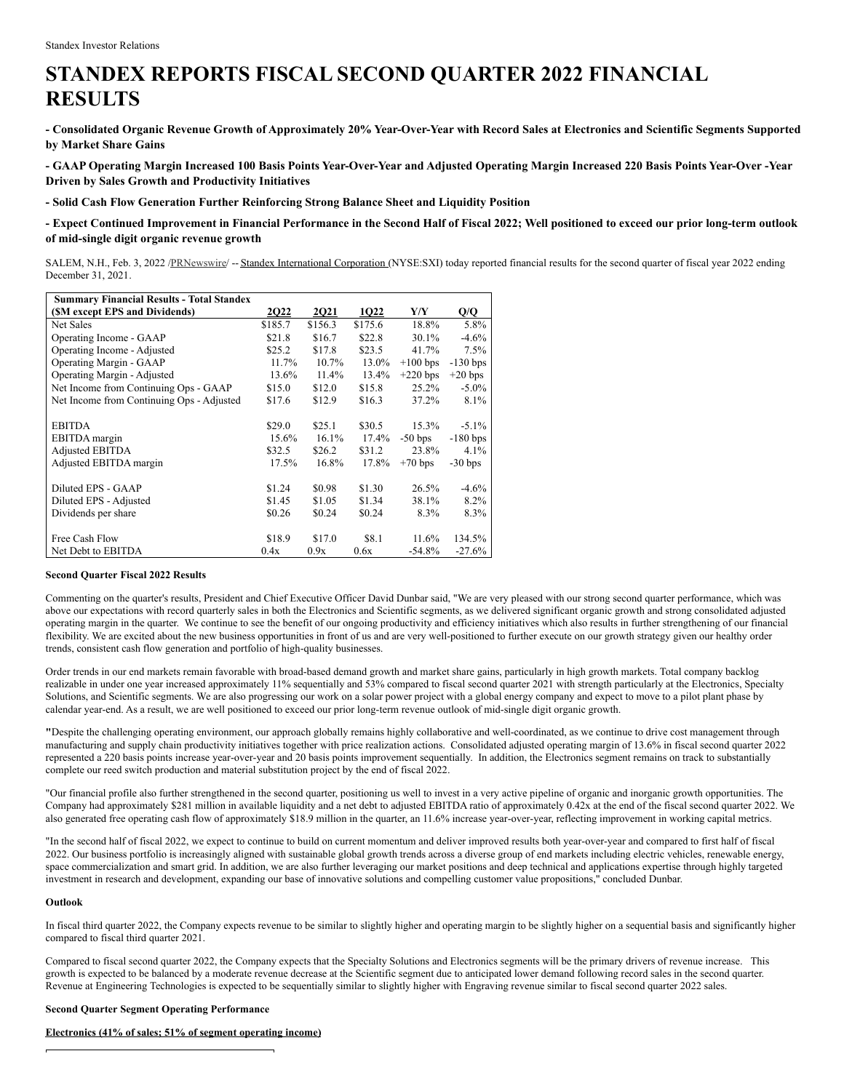# **STANDEX REPORTS FISCAL SECOND QUARTER 2022 FINANCIAL RESULTS**

- Consolidated Organic Revenue Growth of Approximately 20% Year-Over-Year with Record Sales at Electronics and Scientific Segments Supported **by Market Share Gains**

- GAAP Operating Margin Increased 100 Basis Points Year-Over-Year and Adjusted Operating Margin Increased 220 Basis Points Year-Over -Year **Driven by Sales Growth and Productivity Initiatives**

**- Solid Cash Flow Generation Further Reinforcing Strong Balance Sheet and Liquidity Position**

- Expect Continued Improvement in Financial Performance in the Second Half of Fiscal 2022; Well positioned to exceed our prior long-term outlook **of mid-single digit organic revenue growth**

SALEM, N.H., Feb. 3, 2022 [/PRNewswire](http://www.prnewswire.com/)/ -- Standex International Corporation (NYSE:SXI) today reported financial results for the second quarter of fiscal year 2022 ending December 31, 2021.

| <b>Summary Financial Results - Total Standex</b> |               |             |             |            |            |
|--------------------------------------------------|---------------|-------------|-------------|------------|------------|
| (\$M except EPS and Dividends)                   | <u> 2022 </u> | <u>2021</u> | <u>1022</u> | Y/Y        | Q/Q        |
| Net Sales                                        | \$185.7       | \$156.3     | \$175.6     | 18.8%      | 5.8%       |
| Operating Income - GAAP                          | \$21.8        | \$16.7      | \$22.8      | 30.1%      | $-4.6%$    |
| Operating Income - Adjusted                      | \$25.2        | \$17.8      | \$23.5      | 41.7%      | $7.5\%$    |
| Operating Margin - GAAP                          | 11.7%         | $10.7\%$    | 13.0%       | $+100$ bps | $-130$ bps |
| Operating Margin - Adjusted                      | 13.6%         | $11.4\%$    | 13.4%       | $+220$ bps | $+20$ bps  |
| Net Income from Continuing Ops - GAAP            | \$15.0        | \$12.0      | \$15.8      | $25.2\%$   | $-5.0\%$   |
| Net Income from Continuing Ops - Adjusted        | \$17.6        | \$12.9      | \$16.3      | $37.2\%$   | 8.1%       |
|                                                  |               |             |             |            |            |
| <b>EBITDA</b>                                    | \$29.0        | \$25.1      | \$30.5      | 15.3%      | $-5.1\%$   |
| EBITDA margin                                    | 15.6%         | $16.1\%$    | $17.4\%$    | $-50$ bps  | $-180$ bps |
| <b>Adjusted EBITDA</b>                           | \$32.5        | \$26.2      | \$31.2      | 23.8%      | $4.1\%$    |
| Adjusted EBITDA margin                           | 17.5%         | 16.8%       | 17.8%       | $+70$ bps  | $-30$ bps  |
|                                                  |               |             |             |            |            |
| Diluted EPS - GAAP                               | \$1.24        | \$0.98      | \$1.30      | 26.5%      | $-4.6%$    |
| Diluted EPS - Adjusted                           | \$1.45        | \$1.05      | \$1.34      | 38.1%      | 8.2%       |
| Dividends per share                              | \$0.26        | \$0.24      | \$0.24      | 8.3%       | 8.3%       |
|                                                  |               |             |             |            |            |
| Free Cash Flow                                   | \$18.9        | \$17.0      | \$8.1       | $11.6\%$   | 134.5%     |
| Net Debt to EBITDA                               | 0.4x          | 0.9x        | 0.6x        | $-54.8\%$  | $-27.6%$   |

## **Second Quarter Fiscal 2022 Results**

Commenting on the quarter's results, President and Chief Executive Officer David Dunbar said, "We are very pleased with our strong second quarter performance, which was above our expectations with record quarterly sales in both the Electronics and Scientific segments, as we delivered significant organic growth and strong consolidated adjusted operating margin in the quarter. We continue to see the benefit of our ongoing productivity and efficiency initiatives which also results in further strengthening of our financial flexibility. We are excited about the new business opportunities in front of us and are very well-positioned to further execute on our growth strategy given our healthy order trends, consistent cash flow generation and portfolio of high-quality businesses.

Order trends in our end markets remain favorable with broad-based demand growth and market share gains, particularly in high growth markets. Total company backlog realizable in under one year increased approximately 11% sequentially and 53% compared to fiscal second quarter 2021 with strength particularly at the Electronics, Specialty Solutions, and Scientific segments. We are also progressing our work on a solar power project with a global energy company and expect to move to a pilot plant phase by calendar year-end. As a result, we are well positioned to exceed our prior long-term revenue outlook of mid-single digit organic growth.

**"**Despite the challenging operating environment, our approach globally remains highly collaborative and well-coordinated, as we continue to drive cost management through manufacturing and supply chain productivity initiatives together with price realization actions. Consolidated adjusted operating margin of 13.6% in fiscal second quarter 2022 represented a 220 basis points increase year-over-year and 20 basis points improvement sequentially. In addition, the Electronics segment remains on track to substantially complete our reed switch production and material substitution project by the end of fiscal 2022.

"Our financial profile also further strengthened in the second quarter, positioning us well to invest in a very active pipeline of organic and inorganic growth opportunities. The Company had approximately \$281 million in available liquidity and a net debt to adjusted EBITDA ratio of approximately 0.42x at the end of the fiscal second quarter 2022. We also generated free operating cash flow of approximately \$18.9 million in the quarter, an 11.6% increase year-over-year, reflecting improvement in working capital metrics.

"In the second half of fiscal 2022, we expect to continue to build on current momentum and deliver improved results both year-over-year and compared to first half of fiscal 2022. Our business portfolio is increasingly aligned with sustainable global growth trends across a diverse group of end markets including electric vehicles, renewable energy, space commercialization and smart grid. In addition, we are also further leveraging our market positions and deep technical and applications expertise through highly targeted investment in research and development, expanding our base of innovative solutions and compelling customer value propositions," concluded Dunbar.

## **Outlook**

In fiscal third quarter 2022, the Company expects revenue to be similar to slightly higher and operating margin to be slightly higher on a sequential basis and significantly higher compared to fiscal third quarter 2021.

Compared to fiscal second quarter 2022, the Company expects that the Specialty Solutions and Electronics segments will be the primary drivers of revenue increase. This growth is expected to be balanced by a moderate revenue decrease at the Scientific segment due to anticipated lower demand following record sales in the second quarter. Revenue at Engineering Technologies is expected to be sequentially similar to slightly higher with Engraving revenue similar to fiscal second quarter 2022 sales.

**Second Quarter Segment Operating Performance**

## **Electronics (41% of sales; 51% of segment operating income)**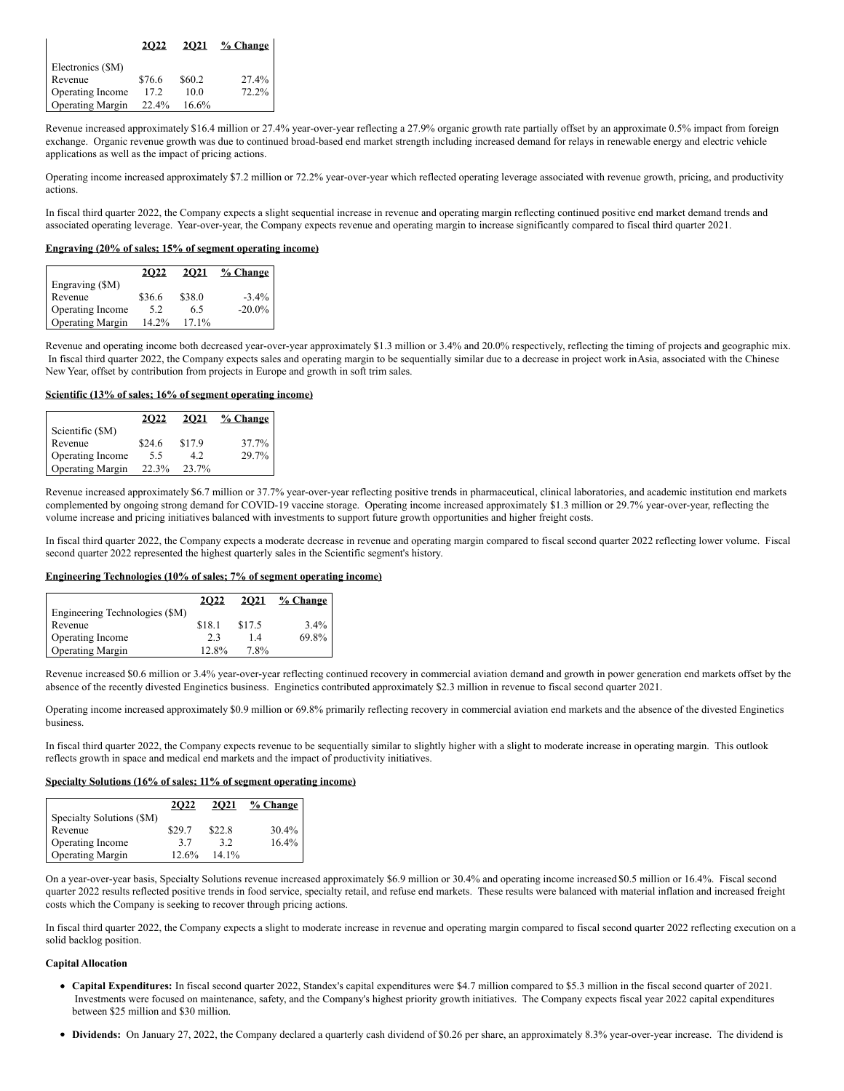|                         | 2022   | 2021   | $% Change$ |
|-------------------------|--------|--------|------------|
| Electronics (\$M)       |        |        |            |
| Revenue                 | \$76.6 | \$60.2 | 27.4%      |
| Operating Income        | 17.2   | 10.0   | 72.2%      |
| <b>Operating Margin</b> | 22.4%  | 16.6%  |            |

Revenue increased approximately \$16.4 million or 27.4% year-over-year reflecting a 27.9% organic growth rate partially offset by an approximate 0.5% impact from foreign exchange. Organic revenue growth was due to continued broad-based end market strength including increased demand for relays in renewable energy and electric vehicle applications as well as the impact of pricing actions.

Operating income increased approximately \$7.2 million or 72.2% year-over-year which reflected operating leverage associated with revenue growth, pricing, and productivity actions.

In fiscal third quarter 2022, the Company expects a slight sequential increase in revenue and operating margin reflecting continued positive end market demand trends and associated operating leverage. Year-over-year, the Company expects revenue and operating margin to increase significantly compared to fiscal third quarter 2021.

## **Engraving (20% of sales; 15% of segment operating income)**

|                         | 2022   | 2021   | % <b>Change</b> |
|-------------------------|--------|--------|-----------------|
| Engraving (\$M)         |        |        |                 |
| Revenue                 | \$36.6 | \$38.0 | $-3.4%$         |
| Operating Income        | 5.2    | 6.5    | $-20.0\%$       |
| <b>Operating Margin</b> | 14.2%  | 17.1%  |                 |

Revenue and operating income both decreased year-over-year approximately \$1.3 million or 3.4% and 20.0% respectively, reflecting the timing of projects and geographic mix. In fiscal third quarter 2022, the Company expects sales and operating margin to be sequentially similar due to a decrease in project work inAsia, associated with the Chinese New Year, offset by contribution from projects in Europe and growth in soft trim sales.

## **Scientific (13% of sales; 16% of segment operating income)**

|                         | 2022   | 2021   | $% Change$ |
|-------------------------|--------|--------|------------|
| Scientific (\$M)        |        |        |            |
| Revenue                 | \$24.6 | \$17.9 | 37.7%      |
| Operating Income        | 5.5    | 42     | 29.7%      |
| <b>Operating Margin</b> | 22.3%  | 23.7%  |            |

Revenue increased approximately \$6.7 million or 37.7% year-over-year reflecting positive trends in pharmaceutical, clinical laboratories, and academic institution end markets complemented by ongoing strong demand for COVID-19 vaccine storage. Operating income increased approximately \$1.3 million or 29.7% year-over-year, reflecting the volume increase and pricing initiatives balanced with investments to support future growth opportunities and higher freight costs.

In fiscal third quarter 2022, the Company expects a moderate decrease in revenue and operating margin compared to fiscal second quarter 2022 reflecting lower volume. Fiscal second quarter 2022 represented the highest quarterly sales in the Scientific segment's history.

#### **Engineering Technologies (10% of sales; 7% of segment operating income)**

|                                | 2022   | <u> 2021</u> | $% Change$ |
|--------------------------------|--------|--------------|------------|
| Engineering Technologies (\$M) |        |              |            |
| Revenue                        | \$18.1 | \$17.5       | $3.4\%$    |
| Operating Income               | 2.3    | 1.4          | 69.8%      |
| <b>Operating Margin</b>        | 12.8%  | 7.8%         |            |

Revenue increased \$0.6 million or 3.4% year-over-year reflecting continued recovery in commercial aviation demand and growth in power generation end markets offset by the absence of the recently divested Enginetics business. Enginetics contributed approximately \$2.3 million in revenue to fiscal second quarter 2021.

Operating income increased approximately \$0.9 million or 69.8% primarily reflecting recovery in commercial aviation end markets and the absence of the divested Enginetics business.

In fiscal third quarter 2022, the Company expects revenue to be sequentially similar to slightly higher with a slight to moderate increase in operating margin. This outlook reflects growth in space and medical end markets and the impact of productivity initiatives.

#### **Specialty Solutions (16% of sales; 11% of segment operating income)**

|                           | 2022   | 2021   | % Change |
|---------------------------|--------|--------|----------|
| Specialty Solutions (\$M) |        |        |          |
| Revenue                   | \$29.7 | \$22.8 | 30.4%    |
| Operating Income          | 37     | 32     | 16.4%    |
| <b>Operating Margin</b>   | 12.6%  | 14.1%  |          |

On a year-over-year basis, Specialty Solutions revenue increased approximately \$6.9 million or 30.4% and operating income increased \$0.5 million or 16.4%. Fiscal second quarter 2022 results reflected positive trends in food service, specialty retail, and refuse end markets. These results were balanced with material inflation and increased freight costs which the Company is seeking to recover through pricing actions.

In fiscal third quarter 2022, the Company expects a slight to moderate increase in revenue and operating margin compared to fiscal second quarter 2022 reflecting execution on a solid backlog position.

## **Capital Allocation**

- **Capital Expenditures:** In fiscal second quarter 2022, Standex's capital expenditures were \$4.7 million compared to \$5.3 million in the fiscal second quarter of 2021. Investments were focused on maintenance, safety, and the Company's highest priority growth initiatives. The Company expects fiscal year 2022 capital expenditures between \$25 million and \$30 million.
- **Dividends:** On January 27, 2022, the Company declared a quarterly cash dividend of \$0.26 per share, an approximately 8.3% year-over-year increase. The dividend is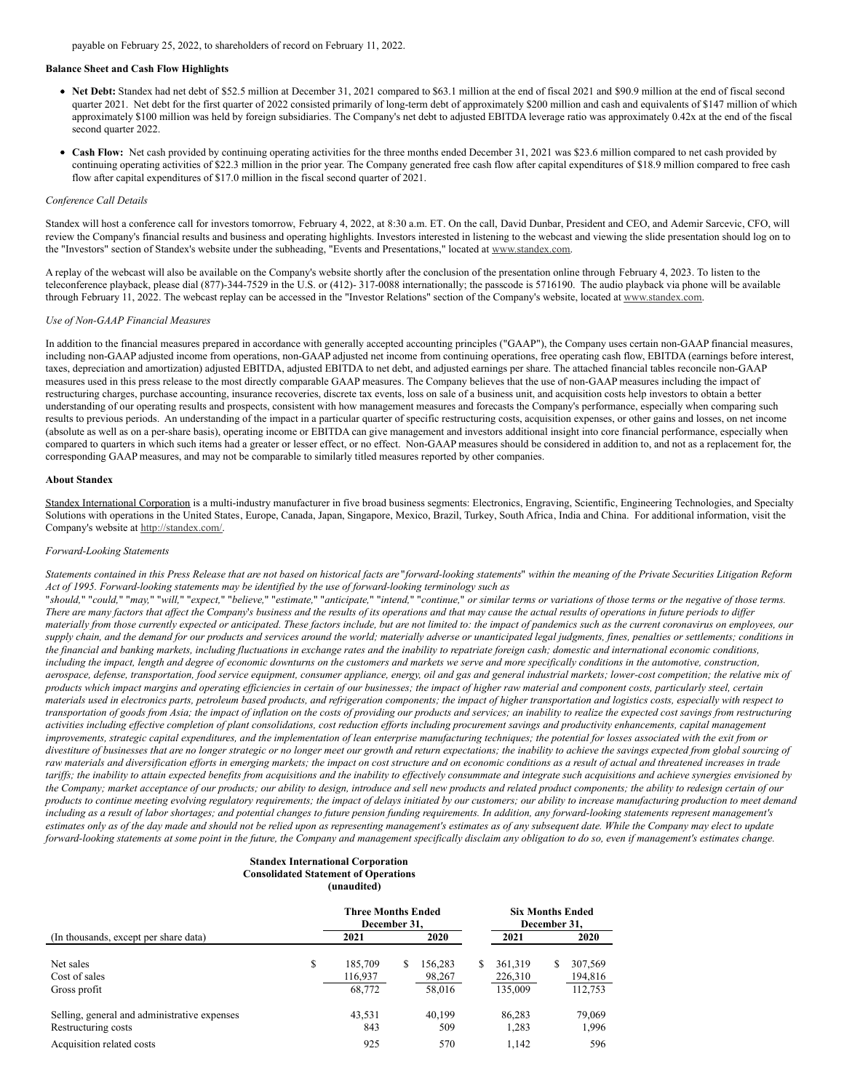payable on February 25, 2022, to shareholders of record on February 11, 2022.

## **Balance Sheet and Cash Flow Highlights**

- **Net Debt:** Standex had net debt of \$52.5 million at December 31, 2021 compared to \$63.1 million at the end of fiscal 2021 and \$90.9 million at the end of fiscal second quarter 2021. Net debt for the first quarter of 2022 consisted primarily of long-term debt of approximately \$200 million and cash and equivalents of \$147 million of which approximately \$100 million was held by foreign subsidiaries. The Company's net debt to adjusted EBITDA leverage ratio was approximately 0.42x at the end of the fiscal second quarter 2022.
- **Cash Flow:** Net cash provided by continuing operating activities for the three months ended December 31, 2021 was \$23.6 million compared to net cash provided by continuing operating activities of \$22.3 million in the prior year. The Company generated free cash flow after capital expenditures of \$18.9 million compared to free cash flow after capital expenditures of \$17.0 million in the fiscal second quarter of 2021.

#### *Conference Call Details*

Standex will host a conference call for investors tomorrow, February 4, 2022, at 8:30 a.m. ET. On the call, David Dunbar, President and CEO, and Ademir Sarcevic, CFO, will review the Company's financial results and business and operating highlights. Investors interested in listening to the webcast and viewing the slide presentation should log on to the "Investors" section of Standex's website under the subheading, "Events and Presentations," located at [www.standex.com](http://www.standex.com).

A replay of the webcast will also be available on the Company's website shortly after the conclusion of the presentation online through February 4, 2023. To listen to the teleconference playback, please dial (877)-344-7529 in the U.S. or (412)- 317-0088 internationally; the passcode is 5716190. The audio playback via phone will be available through February 11, 2022. The webcast replay can be accessed in the "Investor Relations" section of the Company's website, located at [www.standex.com](http://www.standex.com).

#### *Use of Non-GAAP Financial Measures*

In addition to the financial measures prepared in accordance with generally accepted accounting principles ("GAAP"), the Company uses certain non-GAAP financial measures, including non-GAAP adjusted income from operations, non-GAAP adjusted net income from continuing operations, free operating cash flow, EBITDA (earnings before interest, taxes, depreciation and amortization) adjusted EBITDA, adjusted EBITDA to net debt, and adjusted earnings per share. The attached financial tables reconcile non-GAAP measures used in this press release to the most directly comparable GAAP measures. The Company believes that the use of non-GAAP measures including the impact of restructuring charges, purchase accounting, insurance recoveries, discrete tax events, loss on sale of a business unit, and acquisition costs help investors to obtain a better understanding of our operating results and prospects, consistent with how management measures and forecasts the Company's performance, especially when comparing such results to previous periods. An understanding of the impact in a particular quarter of specific restructuring costs, acquisition expenses, or other gains and losses, on net income (absolute as well as on a per-share basis), operating income or EBITDA can give management and investors additional insight into core financial performance, especially when compared to quarters in which such items had a greater or lesser effect, or no effect. Non-GAAP measures should be considered in addition to, and not as a replacement for, the corresponding GAAP measures, and may not be comparable to similarly titled measures reported by other companies.

#### **About Standex**

Standex International Corporation is a multi-industry manufacturer in five broad business segments: Electronics, Engraving, Scientific, Engineering Technologies, and Specialty Solutions with operations in the United States, Europe, Canada, Japan, Singapore, Mexico, Brazil, Turkey, South Africa, India and China. For additional information, visit the Company's website at [http://standex.com/](https://c212.net/c/link/?t=0&l=en&o=3433461-1&h=2891130124&u=http%3A%2F%2Fstandex.com%2F&a=http%3A%2F%2Fstandex.com%2F).

#### *Forward-Looking Statements*

Statements contained in this Press Release that are not based on historical facts are "forward-looking statements" within the meaning of the Private Securities Litigation Reform *Act of 1995. Forward-looking statements may be identified by the use of forward-looking terminology such as*

"should," "could," "may," "will," "expect," "believe," "estimate," "anticipate," "intend," "continue," or similar terms or variations of those terms or the negative of those terms. There are many factors that affect the Company's business and the results of its operations and that may cause the actual results of operations in future periods to differ materially from those currently expected or anticipated. These factors include, but are not limited to: the impact of pandemics such as the current coronavirus on employees, our supply chain, and the demand for our products and services around the world; materially adverse or unanticipated legal judgments, fines, penalties or settlements; conditions in the financial and banking markets, including fluctuations in exchange rates and the inability to repatriate foreign cash; domestic and international economic conditions, including the impact, length and degree of economic downturns on the customers and markets we serve and more specifically conditions in the automotive, construction, aerospace, defense, transportation, food service equipment, consumer appliance, energy, oil and gas and general industrial markets; lower-cost competition; the relative mix of products which impact margins and operating efficiencies in certain of our businesses; the impact of higher raw material and component costs, particularly steel, certain materials used in electronics parts, petroleum based products, and refrigeration components; the impact of higher transportation and logistics costs, especially with respect to transportation of goods from Asia; the impact of inflation on the costs of providing our products and services; an inability to realize the expected cost savings from restructuring activities including effective completion of plant consolidations, cost reduction efforts including procurement savings and productivity enhancements, capital management improvements, strategic capital expenditures, and the implementation of lean enterprise manufacturing techniques; the potential for losses associated with the exit from or divestiture of businesses that are no longer strategic or no longer meet our growth and return expectations; the inability to achieve the savings expected from global sourcing of raw materials and diversification efforts in emerging markets; the impact on cost structure and on economic conditions as a result of actual and threatened increases in trade tariffs; the inability to attain expected benefits from acquisitions and the inability to effectively consummate and integrate such acquisitions and achieve synergies envisioned by the Company; market acceptance of our products; our ability to design, introduce and sell new products and related product components; the ability to redesign certain of our products to continue meeting evolving regulatory requirements; the impact of delays initiated by our customers; our ability to increase manufacturing production to meet demand including as a result of labor shortages; and potential changes to future pension funding requirements. In addition, any forward-looking statements represent management's estimates only as of the day made and should not be relied upon as representing management's estimates as of any subsequent date. While the Company may elect to update forward-looking statements at some point in the future, the Company and management specifically disclaim any obligation to do so, even if management's estimates change.

## **Standex International Corporation Consolidated Statement of Operations (unaudited)**

|                                                                                                  |   | <b>Three Months Ended</b><br>December 31. |   |                             |   | <b>Six Months Ended</b><br>December 31. |   |                               |  |
|--------------------------------------------------------------------------------------------------|---|-------------------------------------------|---|-----------------------------|---|-----------------------------------------|---|-------------------------------|--|
| (In thousands, except per share data)                                                            |   | 2021                                      |   | 2020                        |   | 2021                                    |   | 2020                          |  |
| Net sales<br>Cost of sales<br>Gross profit                                                       | S | 185,709<br>116,937<br>68,772              | S | 156.283<br>98,267<br>58,016 | S | 361.319<br>226,310<br>135,009           | S | 307,569<br>194,816<br>112,753 |  |
| Selling, general and administrative expenses<br>Restructuring costs<br>Acquisition related costs |   | 43,531<br>843<br>925                      |   | 40.199<br>509<br>570        |   | 86.283<br>1,283<br>1.142                |   | 79,069<br>1,996<br>596        |  |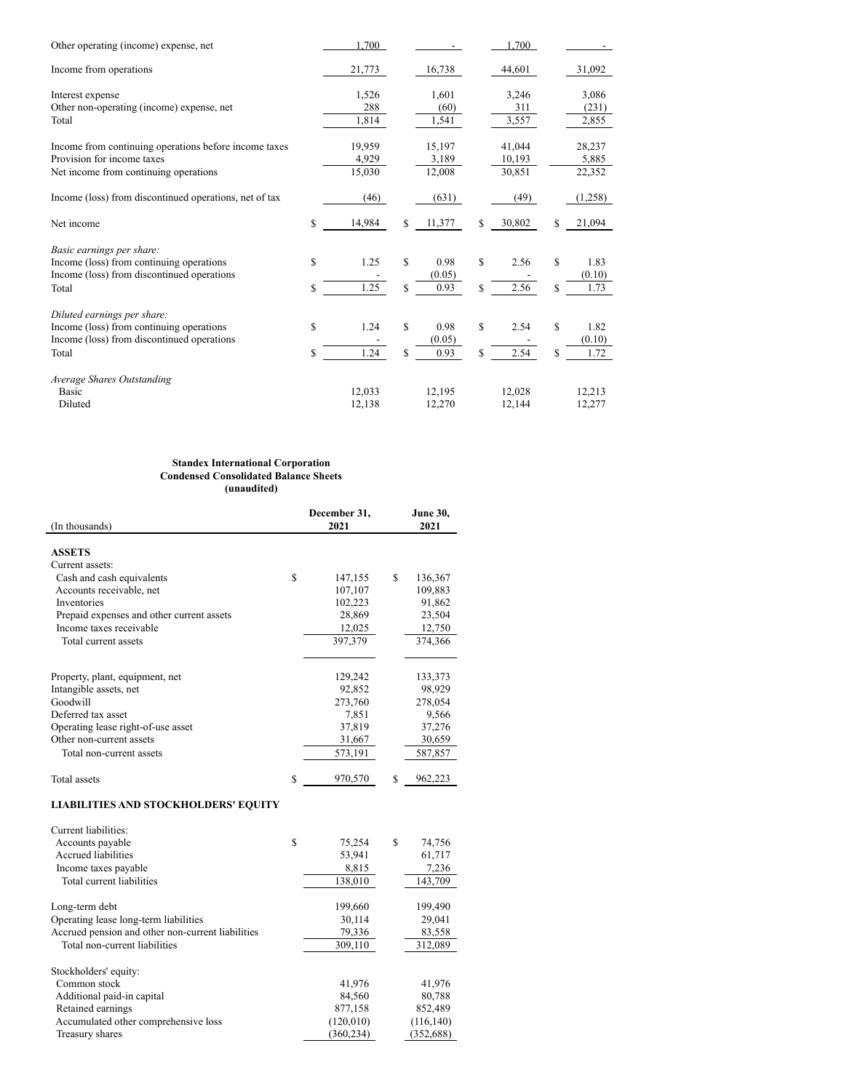| Other operating (income) expense, net                                                                                          |          | 1.700                     |                    |                           |                   | 1.700                      |          |                           |
|--------------------------------------------------------------------------------------------------------------------------------|----------|---------------------------|--------------------|---------------------------|-------------------|----------------------------|----------|---------------------------|
| Income from operations                                                                                                         |          | 21,773                    |                    | 16,738                    |                   | 44,601                     |          | 31,092                    |
| Interest expense<br>Other non-operating (income) expense, net<br>Total                                                         |          | 1,526<br>288<br>1,814     |                    | 1,601<br>(60)<br>1,541    |                   | 3,246<br>311<br>3,557      |          | 3,086<br>(231)<br>2,855   |
| Income from continuing operations before income taxes<br>Provision for income taxes<br>Net income from continuing operations   |          | 19,959<br>4,929<br>15,030 |                    | 15,197<br>3,189<br>12,008 |                   | 41,044<br>10,193<br>30,851 |          | 28,237<br>5,885<br>22,352 |
| Income (loss) from discontinued operations, net of tax                                                                         |          | (46)                      |                    | (631)                     |                   | (49)                       |          | (1,258)                   |
| Net income                                                                                                                     | \$       | 14,984                    | \$                 | 11,377                    | S                 | 30,802                     | S        | 21,094                    |
| Basic earnings per share:<br>Income (loss) from continuing operations<br>Income (loss) from discontinued operations<br>Total   | \$<br>Ŝ  | 1.25<br>1.25              | \$<br>$\mathbb{S}$ | 0.98<br>(0.05)<br>0.93    | $\mathbf S$<br>\$ | 2.56<br>2.56               | \$<br>S  | 1.83<br>(0.10)<br>1.73    |
| Diluted earnings per share:<br>Income (loss) from continuing operations<br>Income (loss) from discontinued operations<br>Total | \$<br>\$ | 1.24<br>1.24              | \$<br>\$           | 0.98<br>(0.05)<br>0.93    | \$<br>S           | 2.54<br>2.54               | \$<br>\$ | 1.82<br>(0.10)<br>1.72    |
| Average Shares Outstanding<br>Basic<br>Diluted                                                                                 |          | 12,033<br>12,138          |                    | 12,195<br>12,270          |                   | 12,028<br>12,144           |          | 12,213<br>12,277          |

## **Standex International Corporation Condensed Consolidated Balance Sheets (unaudited)**

| (In thousands)                                    |    | December 31,<br>2021 |    | <b>June 30,</b><br>2021 |
|---------------------------------------------------|----|----------------------|----|-------------------------|
| <b>ASSETS</b>                                     |    |                      |    |                         |
|                                                   |    |                      |    |                         |
| Current assets:<br>Cash and cash equivalents      | S  | 147,155              | \$ | 136,367                 |
| Accounts receivable, net                          |    | 107,107              |    | 109,883                 |
| <b>Inventories</b>                                |    | 102,223              |    | 91,862                  |
| Prepaid expenses and other current assets         |    | 28,869               |    | 23,504                  |
| Income taxes receivable                           |    | 12,025               |    | 12,750                  |
| Total current assets                              |    | 397,379              |    | 374,366                 |
|                                                   |    |                      |    |                         |
| Property, plant, equipment, net                   |    | 129,242              |    | 133,373                 |
| Intangible assets, net                            |    | 92,852               |    | 98,929                  |
| Goodwill                                          |    | 273,760              |    | 278,054                 |
| Deferred tax asset                                |    | 7,851                |    | 9,566                   |
| Operating lease right-of-use asset                |    | 37,819               |    | 37,276                  |
| Other non-current assets                          |    | 31,667               |    | 30,659                  |
| Total non-current assets                          |    | 573,191              |    | 587,857                 |
| <b>Total</b> assets                               | \$ | 970,570              | \$ | 962,223                 |
| LIABILITIES AND STOCKHOLDERS' EQUITY              |    |                      |    |                         |
| Current liabilities:                              |    |                      |    |                         |
| Accounts payable                                  | S  | 75,254               | S  | 74,756                  |
| <b>Accrued liabilities</b>                        |    | 53,941               |    | 61,717                  |
| Income taxes payable                              |    | 8,815                |    | 7,236                   |
| Total current liabilities                         |    | 138,010              |    | 143,709                 |
|                                                   |    |                      |    |                         |
| Long-term debt                                    |    | 199,660              |    | 199,490                 |
| Operating lease long-term liabilities             |    | 30,114               |    | 29,041                  |
| Accrued pension and other non-current liabilities |    | 79,336               |    | 83,558                  |
| Total non-current liabilities                     |    | 309,110              |    | 312,089                 |
| Stockholders' equity:                             |    |                      |    |                         |
| Common stock                                      |    | 41,976               |    | 41,976                  |
| Additional paid-in capital                        |    | 84,560               |    | 80,788                  |
| Retained earnings                                 |    | 877,158              |    | 852,489                 |
| Accumulated other comprehensive loss              |    | (120,010)            |    | (116, 140)              |
| Treasury shares                                   |    | (360, 234)           |    | (352, 688)              |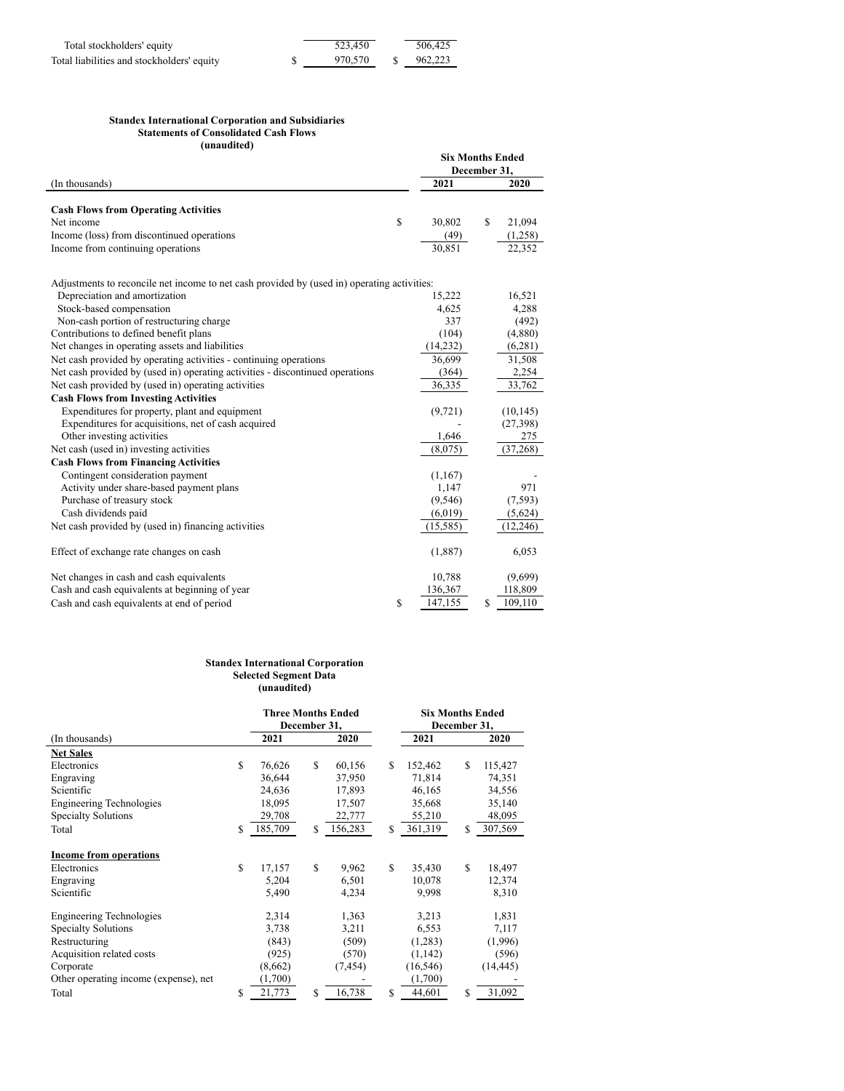| Total stockholders' equity                 | 523.450 | 506,425 |
|--------------------------------------------|---------|---------|
| Total liabilities and stockholders' equity | 970,570 | 962.223 |

## **Standex International Corporation and Subsidiaries Statements of Consolidated Cash Flows**

| (unaudited) |  |
|-------------|--|
|-------------|--|

|                                                                                             |             | <b>Six Months Ended</b> | December 31, |           |
|---------------------------------------------------------------------------------------------|-------------|-------------------------|--------------|-----------|
| (In thousands)                                                                              |             | 2021                    |              | 2020      |
|                                                                                             |             |                         |              |           |
| <b>Cash Flows from Operating Activities</b>                                                 |             |                         |              |           |
| Net income                                                                                  | $\mathbf S$ | 30,802                  | S            | 21,094    |
| Income (loss) from discontinued operations                                                  |             | (49)                    |              | (1,258)   |
| Income from continuing operations                                                           |             | 30,851                  |              | 22,352    |
| Adjustments to reconcile net income to net cash provided by (used in) operating activities: |             |                         |              |           |
| Depreciation and amortization                                                               |             | 15,222                  |              | 16,521    |
| Stock-based compensation                                                                    |             | 4,625                   |              | 4,288     |
| Non-cash portion of restructuring charge                                                    |             | 337                     |              | (492)     |
| Contributions to defined benefit plans                                                      |             | (104)                   |              | (4,880)   |
| Net changes in operating assets and liabilities                                             |             | (14,232)                |              | (6,281)   |
| Net cash provided by operating activities - continuing operations                           |             | 36,699                  |              | 31,508    |
| Net cash provided by (used in) operating activities - discontinued operations               |             | (364)                   |              | 2,254     |
| Net cash provided by (used in) operating activities                                         |             | 36,335                  |              | 33,762    |
| <b>Cash Flows from Investing Activities</b>                                                 |             |                         |              |           |
| Expenditures for property, plant and equipment                                              |             | (9, 721)                |              | (10, 145) |
| Expenditures for acquisitions, net of cash acquired                                         |             |                         |              | (27, 398) |
| Other investing activities                                                                  |             | 1,646                   |              | 275       |
| Net cash (used in) investing activities                                                     |             | (8,075)                 |              | (37,268)  |
| <b>Cash Flows from Financing Activities</b>                                                 |             |                         |              |           |
| Contingent consideration payment                                                            |             | (1,167)                 |              |           |
| Activity under share-based payment plans                                                    |             | 1,147                   |              | 971       |
| Purchase of treasury stock                                                                  |             | (9, 546)                |              | (7, 593)  |
| Cash dividends paid                                                                         |             | (6,019)                 |              | (5,624)   |
| Net cash provided by (used in) financing activities                                         |             | (15, 585)               |              | (12, 246) |
| Effect of exchange rate changes on cash                                                     |             | (1,887)                 |              | 6,053     |
| Net changes in cash and cash equivalents                                                    |             | 10,788                  |              | (9,699)   |
| Cash and cash equivalents at beginning of year                                              |             | 136,367                 |              | 118,809   |
| Cash and cash equivalents at end of period                                                  | S           | 147,155                 | \$           | 109,110   |

#### **Standex International Corporation Selected Segment Data (unaudited)**

|                                              |    | <b>Three Months Ended</b> | December 31, |          |     |           | <b>Six Months Ended</b><br>December 31, |           |  |
|----------------------------------------------|----|---------------------------|--------------|----------|-----|-----------|-----------------------------------------|-----------|--|
| (In thousands)                               |    | 2021                      |              | 2020     |     | 2021      |                                         | 2020      |  |
| <b>Net Sales</b>                             |    |                           |              |          |     |           |                                         |           |  |
| Electronics                                  | \$ | 76,626                    | S            | 60,156   | \$. | 152,462   | \$.                                     | 115,427   |  |
| Engraving                                    |    | 36,644                    |              | 37,950   |     | 71,814    |                                         | 74,351    |  |
| Scientific                                   |    | 24,636                    |              | 17,893   |     | 46,165    |                                         | 34,556    |  |
| <b>Engineering Technologies</b>              |    | 18,095                    |              | 17,507   |     | 35,668    |                                         | 35,140    |  |
| Specialty Solutions                          |    | 29,708                    |              | 22,777   |     | 55,210    |                                         | 48,095    |  |
| Total                                        | \$ | 185,709                   | \$           | 156,283  | \$  | 361,319   | \$                                      | 307,569   |  |
| <b>Income from operations</b><br>Electronics | \$ | 17,157                    | S            | 9,962    | S   | 35,430    | \$                                      | 18,497    |  |
| Engraving                                    |    | 5,204                     |              | 6,501    |     | 10,078    |                                         | 12,374    |  |
| Scientific                                   |    | 5,490                     |              | 4,234    |     | 9,998     |                                         | 8,310     |  |
| <b>Engineering Technologies</b>              |    | 2,314                     |              | 1,363    |     | 3,213     |                                         | 1,831     |  |
| <b>Specialty Solutions</b>                   |    | 3,738                     |              | 3,211    |     | 6,553     |                                         | 7,117     |  |
| Restructuring                                |    | (843)                     |              | (509)    |     | (1,283)   |                                         | (1,996)   |  |
| Acquisition related costs                    |    | (925)                     |              | (570)    |     | (1, 142)  |                                         | (596)     |  |
| Corporate                                    |    | (8,662)                   |              | (7, 454) |     | (16, 546) |                                         | (14, 445) |  |
| Other operating income (expense), net        |    | (1,700)                   |              |          |     | (1,700)   |                                         |           |  |
| Total                                        | S  | 21,773                    | \$           | 16,738   | \$  | 44,601    | \$                                      | 31,092    |  |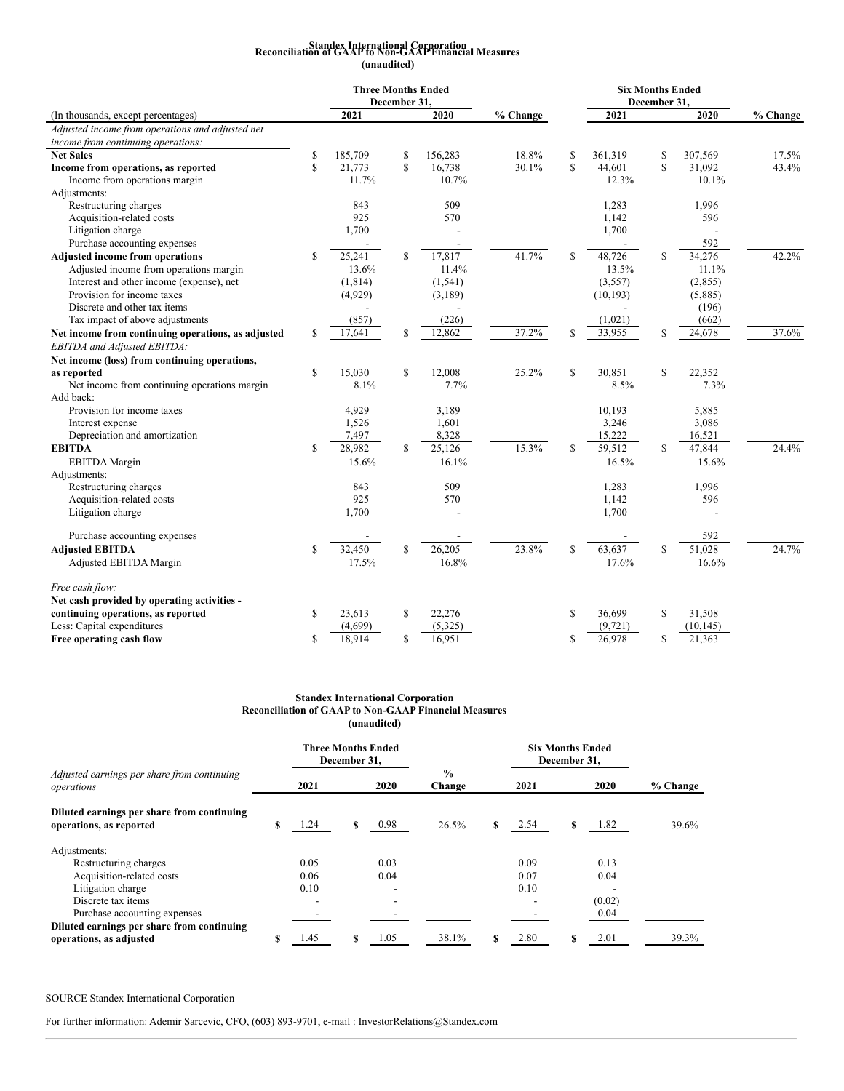## **Standex International Corporation Reconciliation of GAAP to Non-GAAP Financial Measures (unaudited)**

|                                                    |              | <b>Three Months Ended</b><br>December 31, |             |                          |          |               | <b>Six Months Ended</b><br>December 31. |    |                          |          |
|----------------------------------------------------|--------------|-------------------------------------------|-------------|--------------------------|----------|---------------|-----------------------------------------|----|--------------------------|----------|
| (In thousands, except percentages)                 |              | 2021                                      |             | 2020                     | % Change |               | 2021                                    |    | 2020                     | % Change |
| Adjusted income from operations and adjusted net   |              |                                           |             |                          |          |               |                                         |    |                          |          |
| income from continuing operations:                 |              |                                           |             |                          |          |               |                                         |    |                          |          |
| <b>Net Sales</b>                                   | \$           | 185,709                                   | \$          | 156,283                  | 18.8%    | \$            | 361,319                                 | \$ | 307,569                  | 17.5%    |
| Income from operations, as reported                | \$           | 21,773                                    | $\mathbf S$ | 16,738                   | 30.1%    | $\mathbb{S}$  | 44,601                                  | S  | 31,092                   | 43.4%    |
| Income from operations margin                      |              | 11.7%                                     |             | 10.7%                    |          |               | 12.3%                                   |    | 10.1%                    |          |
| Adjustments:                                       |              |                                           |             |                          |          |               |                                         |    |                          |          |
| Restructuring charges                              |              | 843                                       |             | 509                      |          |               | 1,283                                   |    | 1,996                    |          |
| Acquisition-related costs                          |              | 925                                       |             | 570                      |          |               | 1,142                                   |    | 596                      |          |
| Litigation charge                                  |              | 1,700                                     |             |                          |          |               | 1,700                                   |    |                          |          |
| Purchase accounting expenses                       |              |                                           |             | $\overline{\phantom{a}}$ |          |               |                                         |    | 592                      |          |
| Adjusted income from operations                    | S            | 25,241                                    | \$          | 17,817                   | 41.7%    | S             | 48,726                                  | S  | 34,276                   | 42.2%    |
| Adjusted income from operations margin             |              | 13.6%                                     |             | 11.4%                    |          |               | 13.5%                                   |    | 11.1%                    |          |
| Interest and other income (expense), net           |              | (1, 814)                                  |             | (1, 541)                 |          |               | (3, 557)                                |    | (2,855)                  |          |
| Provision for income taxes                         |              | (4,929)                                   |             | (3,189)                  |          |               | (10, 193)                               |    | (5,885)                  |          |
| Discrete and other tax items                       |              |                                           |             |                          |          |               |                                         |    | (196)                    |          |
| Tax impact of above adjustments                    |              | (857)                                     |             | (226)                    |          |               | (1,021)                                 |    | (662)                    |          |
| Net income from continuing operations, as adjusted | \$           | 17,641                                    | \$.         | 12,862                   | 37.2%    | $\mathcal{S}$ | 33,955                                  | \$ | 24,678                   | 37.6%    |
| <b>EBITDA</b> and Adjusted EBITDA:                 |              |                                           |             |                          |          |               |                                         |    |                          |          |
| Net income (loss) from continuing operations,      |              |                                           |             |                          |          |               |                                         |    |                          |          |
| as reported                                        | $\mathbb{S}$ | 15,030                                    | S           | 12,008                   | 25.2%    | \$            | 30,851                                  | \$ | 22,352                   |          |
| Net income from continuing operations margin       |              | 8.1%                                      |             | 7.7%                     |          |               | 8.5%                                    |    | 7.3%                     |          |
| Add back:                                          |              |                                           |             |                          |          |               |                                         |    |                          |          |
| Provision for income taxes                         |              | 4,929                                     |             | 3,189                    |          |               | 10,193                                  |    | 5,885                    |          |
| Interest expense                                   |              | 1,526                                     |             | 1,601                    |          |               | 3,246                                   |    | 3,086                    |          |
| Depreciation and amortization                      |              | 7,497                                     |             | 8,328                    |          |               | 15,222                                  |    | 16,521                   |          |
| <b>EBITDA</b>                                      | S            | 28,982                                    | \$          | 25,126                   | 15.3%    | S             | 59,512                                  | S  | 47,844                   | 24.4%    |
| <b>EBITDA</b> Margin                               |              | 15.6%                                     |             | 16.1%                    |          |               | 16.5%                                   |    | 15.6%                    |          |
| Adjustments:                                       |              |                                           |             |                          |          |               |                                         |    |                          |          |
| Restructuring charges                              |              | 843                                       |             | 509                      |          |               | 1,283                                   |    | 1,996                    |          |
| Acquisition-related costs                          |              | 925                                       |             | 570                      |          |               | 1,142                                   |    | 596                      |          |
| Litigation charge                                  |              | 1,700                                     |             |                          |          |               | 1,700                                   |    | $\overline{\phantom{a}}$ |          |
| Purchase accounting expenses                       |              |                                           |             |                          |          |               |                                         |    | 592                      |          |
| <b>Adjusted EBITDA</b>                             | Ŝ            | 32,450                                    | \$          | 26,205                   | 23.8%    | \$            | 63,637                                  | \$ | 51,028                   | 24.7%    |
| Adjusted EBITDA Margin                             |              | 17.5%                                     |             | 16.8%                    |          |               | 17.6%                                   |    | 16.6%                    |          |
|                                                    |              |                                           |             |                          |          |               |                                         |    |                          |          |
| Free cash flow:                                    |              |                                           |             |                          |          |               |                                         |    |                          |          |
| Net cash provided by operating activities -        |              |                                           |             |                          |          |               |                                         |    |                          |          |
| continuing operations, as reported                 | \$           | 23,613                                    | \$          | 22,276                   |          | \$            | 36,699                                  | \$ | 31,508                   |          |
| Less: Capital expenditures                         |              | (4,699)                                   |             | (5,325)                  |          |               | (9, 721)                                |    | (10, 145)                |          |
| Free operating cash flow                           | \$           | 18,914                                    | \$          | 16,951                   |          | S             | 26,978                                  | \$ | 21,363                   |          |

#### **Standex International Corporation Reconciliation of GAAP to Non-GAAP Financial Measures (unaudited)**

|                                                                       |  | <b>Three Months Ended</b><br>December 31. |     |                          |                         | <b>Six Months Ended</b><br>December 31. |      |        |          |  |
|-----------------------------------------------------------------------|--|-------------------------------------------|-----|--------------------------|-------------------------|-----------------------------------------|------|--------|----------|--|
| Adjusted earnings per share from continuing<br>operations             |  | 2021                                      |     | 2020                     | $\frac{0}{0}$<br>Change |                                         | 2021 | 2020   | % Change |  |
| Diluted earnings per share from continuing<br>operations, as reported |  | 1.24                                      | S   | 0.98                     | 26.5%                   | S                                       | 2.54 | 1.82   | 39.6%    |  |
| Adjustments:                                                          |  |                                           |     |                          |                         |                                         |      |        |          |  |
| Restructuring charges                                                 |  | 0.05                                      |     | 0.03                     |                         |                                         | 0.09 | 0.13   |          |  |
| Acquisition-related costs                                             |  | 0.06                                      |     | 0.04                     |                         |                                         | 0.07 | 0.04   |          |  |
| Litigation charge                                                     |  | 0.10                                      |     |                          |                         |                                         | 0.10 |        |          |  |
| Discrete tax items                                                    |  | $\overline{\phantom{a}}$                  |     | $\overline{\phantom{a}}$ |                         |                                         | -    | (0.02) |          |  |
| Purchase accounting expenses                                          |  |                                           |     |                          |                         |                                         |      | 0.04   |          |  |
| Diluted earnings per share from continuing                            |  |                                           |     |                          |                         |                                         |      |        |          |  |
| operations, as adjusted                                               |  | 1.45                                      | \$. | 1.05                     | 38.1%                   | S                                       | 2.80 | 2.01   | 39.3%    |  |

SOURCE Standex International Corporation

For further information: Ademir Sarcevic, CFO, (603) 893-9701, e-mail : InvestorRelations@Standex.com